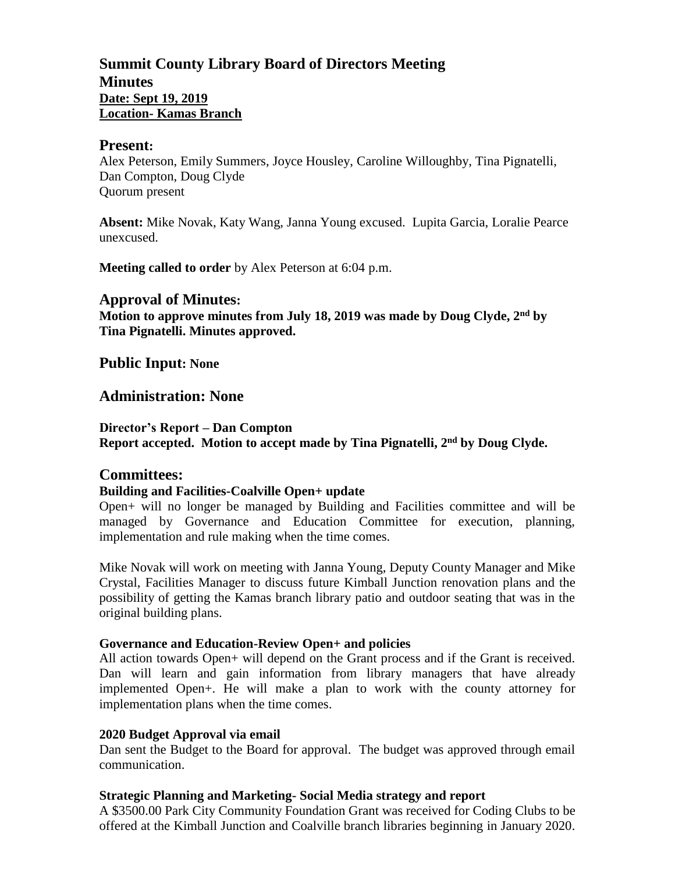### **Summit County Library Board of Directors Meeting Minutes Date: Sept 19, 2019 Location- Kamas Branch**

#### **Present:**

Alex Peterson, Emily Summers, Joyce Housley, Caroline Willoughby, Tina Pignatelli, Dan Compton, Doug Clyde Quorum present

**Absent:** Mike Novak, Katy Wang, Janna Young excused. Lupita Garcia, Loralie Pearce unexcused.

**Meeting called to order** by Alex Peterson at 6:04 p.m.

#### **Approval of Minutes:**

**Motion to approve minutes from July 18, 2019 was made by Doug Clyde, 2 nd by Tina Pignatelli. Minutes approved.** 

**Public Input: None**

**Administration: None**

**Director's Report – Dan Compton Report accepted. Motion to accept made by Tina Pignatelli, 2 nd by Doug Clyde.**

#### **Committees:**

#### **Building and Facilities-Coalville Open+ update**

Open+ will no longer be managed by Building and Facilities committee and will be managed by Governance and Education Committee for execution, planning, implementation and rule making when the time comes.

Mike Novak will work on meeting with Janna Young, Deputy County Manager and Mike Crystal, Facilities Manager to discuss future Kimball Junction renovation plans and the possibility of getting the Kamas branch library patio and outdoor seating that was in the original building plans.

#### **Governance and Education-Review Open+ and policies**

All action towards Open+ will depend on the Grant process and if the Grant is received. Dan will learn and gain information from library managers that have already implemented Open+. He will make a plan to work with the county attorney for implementation plans when the time comes.

#### **2020 Budget Approval via email**

Dan sent the Budget to the Board for approval. The budget was approved through email communication.

#### **Strategic Planning and Marketing- Social Media strategy and report**

A \$3500.00 Park City Community Foundation Grant was received for Coding Clubs to be offered at the Kimball Junction and Coalville branch libraries beginning in January 2020.